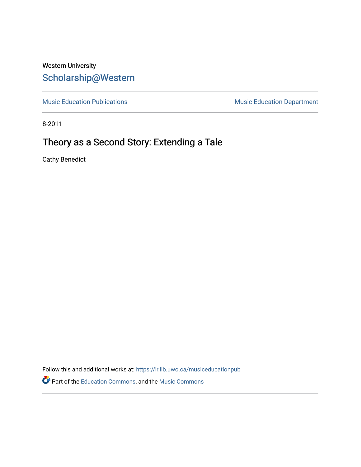# Western University [Scholarship@Western](https://ir.lib.uwo.ca/)

[Music Education Publications](https://ir.lib.uwo.ca/musiceducationpub) **Music Education Department** 

8-2011

# Theory as a Second Story: Extending a Tale

Cathy Benedict

Follow this and additional works at: [https://ir.lib.uwo.ca/musiceducationpub](https://ir.lib.uwo.ca/musiceducationpub?utm_source=ir.lib.uwo.ca%2Fmusiceducationpub%2F1&utm_medium=PDF&utm_campaign=PDFCoverPages) Part of the [Education Commons](http://network.bepress.com/hgg/discipline/784?utm_source=ir.lib.uwo.ca%2Fmusiceducationpub%2F1&utm_medium=PDF&utm_campaign=PDFCoverPages), and the [Music Commons](http://network.bepress.com/hgg/discipline/518?utm_source=ir.lib.uwo.ca%2Fmusiceducationpub%2F1&utm_medium=PDF&utm_campaign=PDFCoverPages)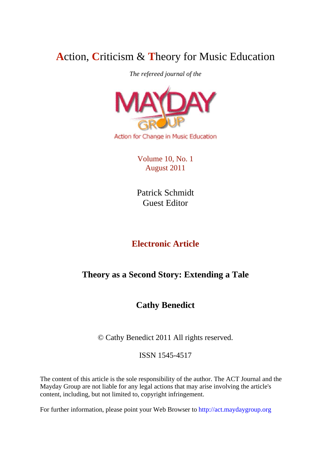# **A**ction, **C**riticism & **T**heory for Music Education

*The refereed journal of the* 



Volume 10, No. 1 August 2011

Patrick Schmidt Guest Editor

# **Electronic Article**

# **Theory as a Second Story: Extending a Tale**

# **Cathy Benedict**

© Cathy Benedict 2011 All rights reserved.

ISSN 1545-4517

The content of this article is the sole responsibility of the author. The ACT Journal and the Mayday Group are not liable for any legal actions that may arise involving the article's content, including, but not limited to, copyright infringement.

For further information, please point your Web Browser to http://act.maydaygroup.org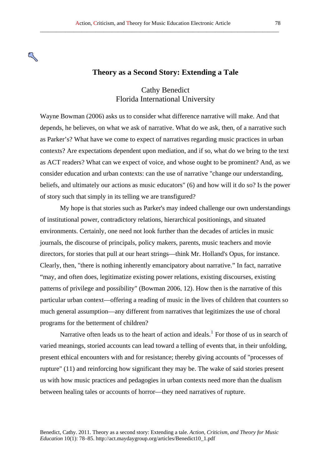### **Theory as a Second Story: Extending a Tale**

## Cathy Benedict Florida International University

Wayne Bowman (2006) asks us to consider what difference narrative will make. And that depends, he believes, on what we ask of narrative. What do we ask, then, of a narrative such as Parker's? What have we come to expect of narratives regarding music practices in urban contexts? Are expectations dependent upon mediation, and if so, what do we bring to the text as ACT readers? What can we expect of voice, and whose ought to be prominent? And, as we consider education and urban contexts: can the use of narrative "change our understanding, beliefs, and ultimately our actions as music educators" (6) and how will it do so? Is the power of story such that simply in its telling we are transfigured?

My hope is that stories such as Parker's may indeed challenge our own understandings of institutional power, contradictory relations, hierarchical positionings, and situated environments. Certainly, one need not look further than the decades of articles in music journals, the discourse of principals, policy makers, parents, music teachers and movie directors, for stories that pull at our heart strings—think Mr. Holland's Opus, for instance. Clearly, then, "there is nothing inherently emancipatory about narrative." In fact, narrative "may, and often does, legitimatize existing power relations, existing discourses, existing patterns of privilege and possibility" (Bowman 2006, 12). How then is the narrative of this particular urban context—offering a reading of music in the lives of children that counters so much general assumption—any different from narratives that legitimizes the use of choral programs for the betterment of children?

Narrative often leads us to the heart of action and ideals.<sup>[1](#page-9-0)</sup> For those of us in search of varied meanings, storied accounts can lead toward a telling of events that, in their unfolding, present ethical encounters with and for resistance; thereby giving accounts of "processes of rupture" (11) and reinforcing how significant they may be. The wake of said stories present us with how music practices and pedagogies in urban contexts need more than the dualism between healing tales or accounts of horror—they need narratives of rupture.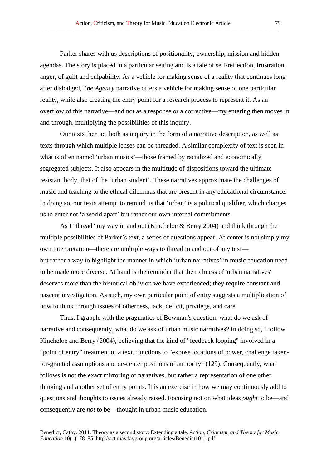Parker shares with us descriptions of positionality, ownership, mission and hidden agendas. The story is placed in a particular setting and is a tale of self-reflection, frustration, anger, of guilt and culpability. As a vehicle for making sense of a reality that continues long after dislodged, *The Agency* narrative offers a vehicle for making sense of one particular reality, while also creating the entry point for a research process to represent it. As an overflow of this narrative—and not as a response or a corrective—my entering then moves in and through, multiplying the possibilities of this inquiry.

Our texts then act both as inquiry in the form of a narrative description, as well as texts through which multiple lenses can be threaded. A similar complexity of text is seen in what is often named 'urban musics'—those framed by racialized and economically segregated subjects. It also appears in the multitude of dispositions toward the ultimate resistant body, that of the 'urban student'. These narratives approximate the challenges of music and teaching to the ethical dilemmas that are present in any educational circumstance. In doing so, our texts attempt to remind us that 'urban' is a political qualifier, which charges us to enter not 'a world apart' but rather our own internal commitments.

As I "thread" my way in and out (Kincheloe & Berry 2004) and think through the multiple possibilities of Parker's text, a series of questions appear. At center is not simply my own interpretation—there are multiple ways to thread in and out of any text but rather a way to highlight the manner in which 'urban narratives' in music education need to be made more diverse. At hand is the reminder that the richness of 'urban narratives' deserves more than the historical oblivion we have experienced; they require constant and nascent investigation. As such, my own particular point of entry suggests a multiplication of how to think through issues of otherness, lack, deficit, privilege, and care.

Thus, I grapple with the pragmatics of Bowman's question: what do we ask of narrative and consequently, what do we ask of urban music narratives? In doing so, I follow Kincheloe and Berry (2004), believing that the kind of "feedback looping" involved in a "point of entry" treatment of a text, functions to "expose locations of power, challenge takenfor-granted assumptions and de-center positions of authority" (129). Consequently, what follows is not the exact mirroring of narratives, but rather a representation of one other thinking and another set of entry points. It is an exercise in how we may continuously add to questions and thoughts to issues already raised. Focusing not on what ideas *ought* to be—and consequently are *not* to be—thought in urban music education.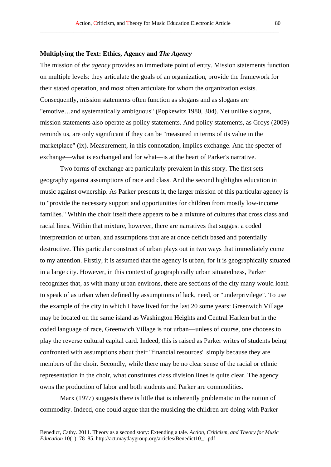### **Multiplying the Text: Ethics, Agency and** *The Agency*

The mission of *the agency* provides an immediate point of entry. Mission statements function on multiple levels: they articulate the goals of an organization, provide the framework for their stated operation, and most often articulate for whom the organization exists. Consequently, mission statements often function as slogans and as slogans are "emotive…and systematically ambiguous" (Popkewitz 1980, 304). Yet unlike slogans, mission statements also operate as policy statements. And policy statements, as Groys (2009) reminds us, are only significant if they can be "measured in terms of its value in the marketplace" (ix). Measurement, in this connotation, implies exchange. And the specter of exchange—what is exchanged and for what—is at the heart of Parker's narrative.

Two forms of exchange are particularly prevalent in this story. The first sets geography against assumptions of race and class. And the second highlights education in music against ownership. As Parker presents it, the larger mission of this particular agency is to "provide the necessary support and opportunities for children from mostly low-income families." Within the choir itself there appears to be a mixture of cultures that cross class and racial lines. Within that mixture, however, there are narratives that suggest a coded interpretation of urban, and assumptions that are at once deficit based and potentially destructive. This particular construct of urban plays out in two ways that immediately come to my attention. Firstly, it is assumed that the agency is urban, for it is geographically situated in a large city. However, in this context of geographically urban situatedness, Parker recognizes that, as with many urban environs, there are sections of the city many would loath to speak of as urban when defined by assumptions of lack, need, or "underprivilege". To use the example of the city in which I have lived for the last 20 some years: Greenwich Village may be located on the same island as Washington Heights and Central Harlem but in the coded language of race, Greenwich Village is not urban—unless of course, one chooses to play the reverse cultural capital card. Indeed, this is raised as Parker writes of students being confronted with assumptions about their "financial resources" simply because they are members of the choir. Secondly, while there may be no clear sense of the racial or ethnic representation in the choir, what constitutes class division lines is quite clear. The agency owns the production of labor and both students and Parker are commodities.

Marx (1977) suggests there is little that is inherently problematic in the notion of commodity. Indeed, one could argue that the musicing the children are doing with Parker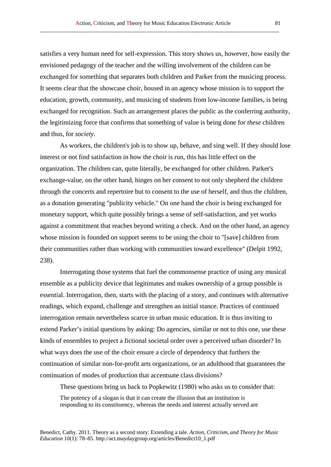satisfies a very human need for self-expression. This story shows us, however, how easily the envisioned pedagogy of the teacher and the willing involvement of the children can be exchanged for something that separates both children and Parker from the musicing process. It seems clear that the showcase choir, housed in an agency whose mission is to support the education, growth, community, and musicing of students from low-income families, is being exchanged for recognition. Such an arrangement places the public as the conferring authority, the legitimizing force that confirms that something of value is being done for *these* children and thus, for *society*.

As workers, the children's job is to show up, behave, and sing well. If they should lose interest or not find satisfaction in how the choir is run, this has little effect on the organization. The children can, quite literally, be exchanged for other children. Parker's exchange-value, on the other hand, hinges on her consent to not only shepherd the children through the concerts and repertoire but to consent to the use of herself, and thus the children, as a donation generating "publicity vehicle." On one hand the choir is being exchanged for monetary support, which quite possibly brings a sense of self-satisfaction, and yet works against a commitment that reaches beyond writing a check. And on the other hand, an agency whose mission is founded on support seems to be using the choir to "[save] children from their communities rather than working with communities toward excellence" (Delpit 1992, 238).

Interrogating those systems that fuel the commonsense practice of using any musical ensemble as a publicity device that legitimates and makes ownership of a group possible is essential. Interrogation, then, starts with the placing of a story, and continues with alternative readings, which expand, challenge and strengthen an initial stance. Practices of continued interrogation remain nevertheless scarce in urban music education. It is thus inviting to extend Parker's initial questions by asking: Do agencies, similar or not to this one, use these kinds of ensembles to project a fictional societal order over a perceived urban disorder? In what ways does the use of the choir ensure a circle of dependency that furthers the continuation of similar non-for-profit arts organizations, or an adulthood that guarantees the continuation of modes of production that accentuate class divisions?

These questions bring us back to Popkewitz (1980) who asks us to consider that: The potency of a slogan is that it can create the illusion that an institution is responding to its constituency, whereas the needs and interest actually served are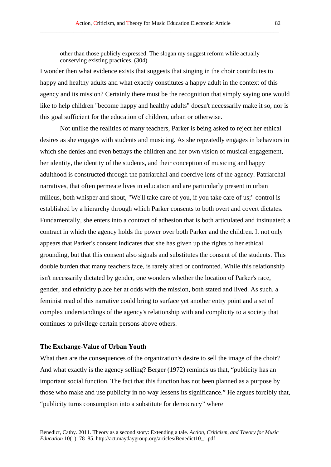other than those publicly expressed. The slogan my suggest reform while actually conserving existing practices. (304)

\_\_\_\_\_\_\_\_\_\_\_\_\_\_\_\_\_\_\_\_\_\_\_\_\_\_\_\_\_\_\_\_\_\_\_\_\_\_\_\_\_\_\_\_\_\_\_\_\_\_\_\_\_\_\_\_\_\_\_\_\_\_\_\_\_\_\_\_\_\_\_\_\_\_\_\_\_\_\_\_\_\_\_\_\_\_

I wonder then what evidence exists that suggests that singing in the choir contributes to happy and healthy adults and what exactly constitutes a happy adult in the context of this agency and its mission? Certainly there must be the recognition that simply saying one would like to help children "become happy and healthy adults" doesn't necessarily make it so, nor is this goal sufficient for the education of children, urban or otherwise.

Not unlike the realities of many teachers, Parker is being asked to reject her ethical desires as she engages with students and musicing. As she repeatedly engages in behaviors in which she denies and even betrays the children and her own vision of musical engagement, her identity, the identity of the students, and their conception of musicing and happy adulthood is constructed through the patriarchal and coercive lens of the agency. Patriarchal narratives, that often permeate lives in education and are particularly present in urban milieus, both whisper and shout, "We'll take care of you, if you take care of us;" control is established by a hierarchy through which Parker consents to both overt and covert dictates. Fundamentally, she enters into a contract of adhesion that is both articulated and insinuated; a contract in which the agency holds the power over both Parker and the children. It not only appears that Parker's consent indicates that she has given up the rights to her ethical grounding, but that this consent also signals and substitutes the consent of the students. This double burden that many teachers face, is rarely aired or confronted. While this relationship isn't necessarily dictated by gender, one wonders whether the location of Parker's race, gender, and ethnicity place her at odds with the mission, both stated and lived. As such, a feminist read of this narrative could bring to surface yet another entry point and a set of complex understandings of the agency's relationship with and complicity to a society that continues to privilege certain persons above others.

#### **The Exchange-Value of Urban Youth**

What then are the consequences of the organization's desire to sell the image of the choir? And what exactly is the agency selling? Berger (1972) reminds us that, "publicity has an important social function. The fact that this function has not been planned as a purpose by those who make and use publicity in no way lessens its significance." He argues forcibly that, "publicity turns consumption into a substitute for democracy" where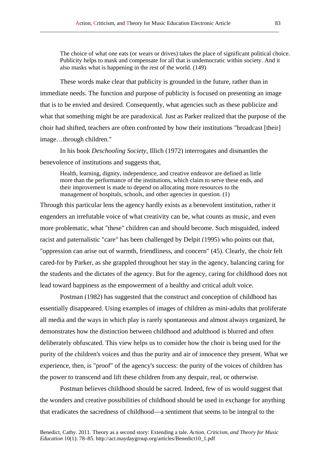The choice of what one eats (or wears or drives) takes the place of significant political choice. Publicity helps to mask and compensate for all that is undemocratic within society. And it also masks what is happening in the rest of the world. (149)

These words make clear that publicity is grounded in the future, rather than in immediate needs. The function and purpose of publicity is focused on presenting an image that is to be envied and desired. Consequently, what agencies such as these publicize and what that something might be are paradoxical. Just as Parker realized that the purpose of the choir had shifted, teachers are often confronted by how their institutions "broadcast [their] image…through children."

In his book *Deschooling Society*, Illich (1972) interrogates and dismantles the benevolence of institutions and suggests that,

Health, learning, dignity, independence, and creative endeavor are defined as little more than the performance of the institutions, which claim to serve these ends, and their improvement is made to depend on allocating more resources to the management of hospitals, schools, and other agencies in question. (1)

Through this particular lens the agency hardly exists as a benevolent institution, rather it engenders an irrefutable voice of what creativity can be, what counts as music, and even more problematic, what "these" children can and should become. Such misguided, indeed racist and paternalistic "care" has been challenged by Delpit (1995) who points out that, "oppression can arise out of warmth, friendliness, and concern" (45). Clearly, the choir felt cared-for by Parker, as she grappled throughout her stay in the agency, balancing caring for the students and the dictates of the agency. But for the agency, caring for childhood does not lead toward happiness as the empowerment of a healthy and critical adult voice.

Postman (1982) has suggested that the construct and conception of childhood has essentially disappeared. Using examples of images of children as mini-adults that proliferate all media and the ways in which play is rarely spontaneous and almost always organized, he demonstrates how the distinction between childhood and adulthood is blurred and often deliberately obfuscated. This view helps us to consider how the choir is being used for the purity of the children's voices and thus the purity and air of innocence they present. What we experience, then, is "proof" of the agency's success: the purity of the voices of children has the power to transcend and lift these children from any despair, real, or otherwise.

Postman believes childhood should be sacred. Indeed, few of us would suggest that the wonders and creative possibilities of childhood should be used in exchange for anything that eradicates the sacredness of childhood—a sentiment that seems to be integral to the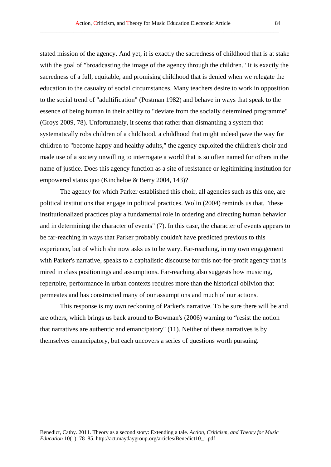stated mission of the agency. And yet, it is exactly the sacredness of childhood that is at stake with the goal of "broadcasting the image of the agency through the children." It is exactly the sacredness of a full, equitable, and promising childhood that is denied when we relegate the education to the casualty of social circumstances. Many teachers desire to work in opposition

to the social trend of "adultification" (Postman 1982) and behave in ways that speak to the essence of being human in their ability to "deviate from the socially determined programme" (Groys 2009, 78). Unfortunately, it seems that rather than dismantling a system that systematically robs children of a childhood, a childhood that might indeed pave the way for children to "become happy and healthy adults," the agency exploited the children's choir and made use of a society unwilling to interrogate a world that is so often named for others in the name of justice. Does this agency function as a site of resistance or legitimizing institution for empowered status quo (Kincheloe & Berry 2004, 143)?

The agency for which Parker established this choir, all agencies such as this one, are political institutions that engage in political practices. Wolin (2004) reminds us that, "these institutionalized practices play a fundamental role in ordering and directing human behavior and in determining the character of events" (7). In this case, the character of events appears to be far-reaching in ways that Parker probably couldn't have predicted previous to this experience, but of which she now asks us to be wary. Far-reaching, in my own engagement with Parker's narrative, speaks to a capitalistic discourse for this not-for-profit agency that is mired in class positionings and assumptions. Far-reaching also suggests how musicing, repertoire, performance in urban contexts requires more than the historical oblivion that permeates and has constructed many of our assumptions and much of our actions.

This response is my own reckoning of Parker's narrative. To be sure there will be and are others, which brings us back around to Bowman's (2006) warning to "resist the notion that narratives are authentic and emancipatory" (11). Neither of these narratives is by themselves emancipatory, but each uncovers a series of questions worth pursuing.